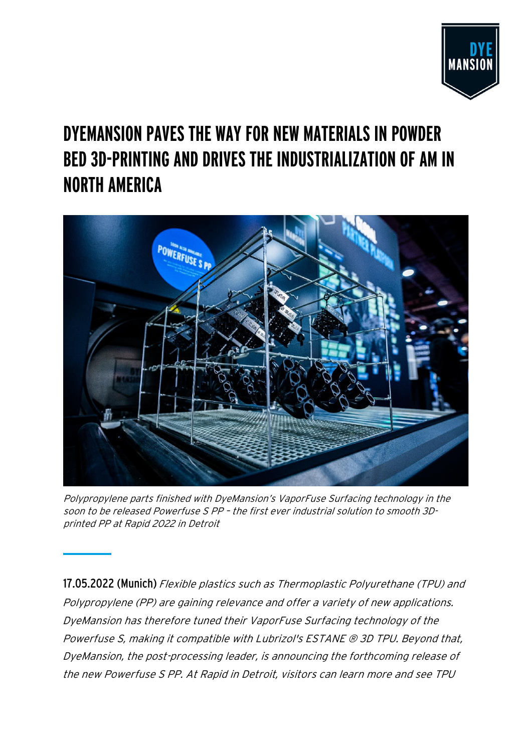

# **DYEMANSION PAVES THE WAY FOR NEW MATERIALS IN POWDER BED 3D-PRINTING AND DRIVES THE INDUSTRIALIZATION OF AM IN NORTH AMERICA**



Polypropylene parts finished with DyeMansion's VaporFuse Surfacing technology in the soon to be released Powerfuse S PP – the first ever industrial solution to smooth 3Dprinted PP at Rapid 2022 in Detroit

17.05.2022 (Munich) Flexible plastics such as Thermoplastic Polyurethane (TPU) and Polypropylene (PP) are gaining relevance and offer a variety of new applications. DyeMansion has therefore tuned their VaporFuse Surfacing technology of the Powerfuse S, making it compatible with Lubrizol's ESTANE ® 3D TPU. Beyond that, DyeMansion, the post-processing leader, is announcing the forthcoming release of the new Powerfuse S PP. At Rapid in Detroit, visitors can learn more and see TPU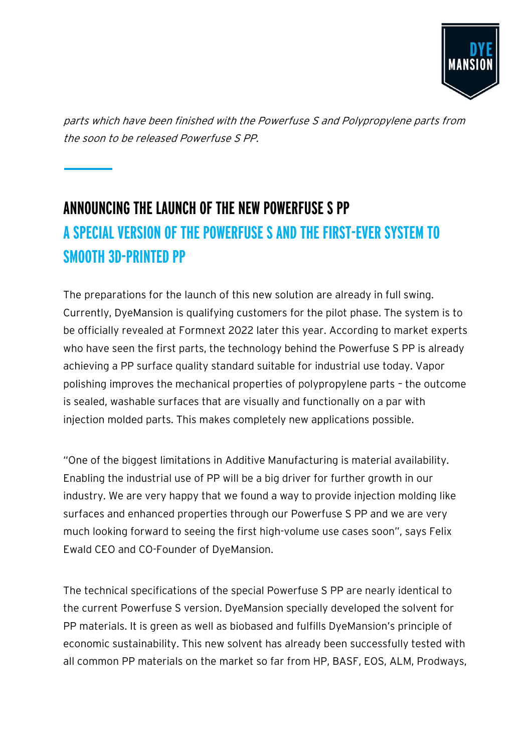

parts which have been finished with the Powerfuse S and Polypropylene parts from the soon to be released Powerfuse S PP.

### **ANNOUNCING THE LAUNCH OF THE NEW POWERFUSE S PP A SPECIAL VERSION OF THE POWERFUSE S AND THE FIRST-EVER SYSTEM TO SMOOTH 3D-PRINTED PP**

The preparations for the launch of this new solution are already in full swing. Currently, DyeMansion is qualifying customers for the pilot phase. The system is to be officially revealed at Formnext 2022 later this year. According to market experts who have seen the first parts, the technology behind the Powerfuse S PP is already achieving a PP surface quality standard suitable for industrial use today. Vapor polishing improves the mechanical properties of polypropylene parts – the outcome is sealed, washable surfaces that are visually and functionally on a par with injection molded parts. This makes completely new applications possible.

"One of the biggest limitations in Additive Manufacturing is material availability. Enabling the industrial use of PP will be a big driver for further growth in our industry. We are very happy that we found a way to provide injection molding like surfaces and enhanced properties through our Powerfuse S PP and we are very much looking forward to seeing the first high-volume use cases soon", says Felix Ewald CEO and CO-Founder of DyeMansion.

The technical specifications of the special Powerfuse S PP are nearly identical to the current Powerfuse S version. DyeMansion specially developed the solvent for PP materials. It is green as well as biobased and fulfills DyeMansion's principle of economic sustainability. This new solvent has already been successfully tested with all common PP materials on the market so far from HP, BASF, EOS, ALM, Prodways,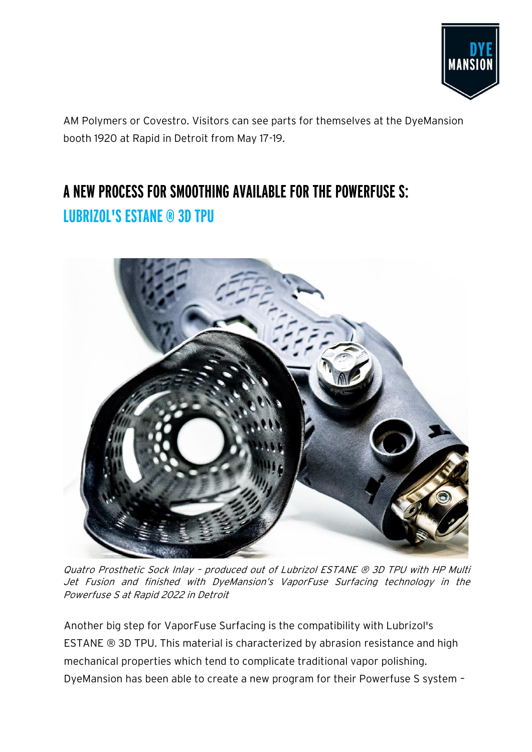

AM Polymers or Covestro. Visitors can see parts for themselves at the DyeMansion booth 1920 at Rapid in Detroit from May 17-19.

## **A NEW PROCESS FOR SMOOTHING AVAILABLE FOR THE POWERFUSE S: LUBRIZOL'S ESTANE ® 3D TPU**



Quatro Prosthetic Sock Inlay – produced out of Lubrizol ESTANE ® 3D TPU with HP Multi Jet Fusion and finished with DyeMansion's VaporFuse Surfacing technology in the Powerfuse S at Rapid 2022 in Detroit

Another big step for VaporFuse Surfacing is the compatibility with Lubrizol's ESTANE ® 3D TPU. This material is characterized by abrasion resistance and high mechanical properties which tend to complicate traditional vapor polishing. DyeMansion has been able to create a new program for their Powerfuse S system –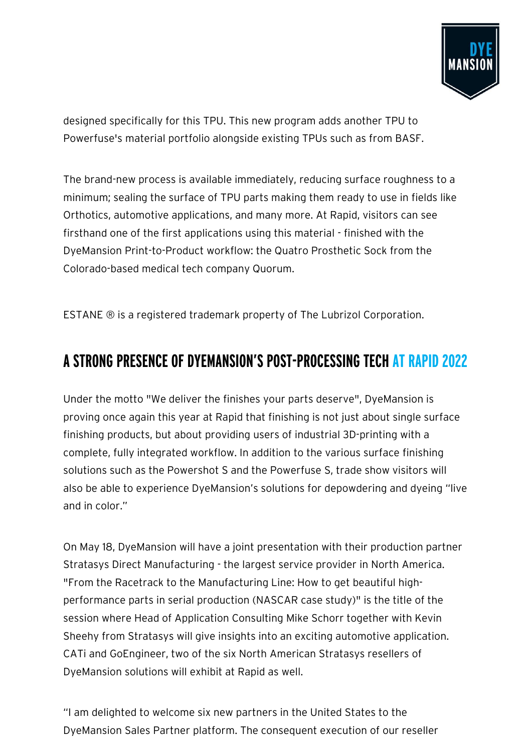

designed specifically for this TPU. This new program adds another TPU to Powerfuse's material portfolio alongside existing TPUs such as from BASF.

The brand-new process is available immediately, reducing surface roughness to a minimum; sealing the surface of TPU parts making them ready to use in fields like Orthotics, automotive applications, and many more. At Rapid, visitors can see firsthand one of the first applications using this material - finished with the DyeMansion Print-to-Product workflow: the Quatro Prosthetic Sock from the Colorado-based medical tech company Quorum.

ESTANE ® is a registered trademark property of The Lubrizol Corporation.

#### **A STRONG PRESENCE OF DYEMANSION'S POST-PROCESSING TECH AT RAPID 2022**

Under the motto "We deliver the finishes your parts deserve", DyeMansion is proving once again this year at Rapid that finishing is not just about single surface finishing products, but about providing users of industrial 3D-printing with a complete, fully integrated workflow. In addition to the various surface finishing solutions such as the Powershot S and the Powerfuse S, trade show visitors will also be able to experience DyeMansion's solutions for depowdering and dyeing "live and in color."

On May 18, DyeMansion will have a joint presentation with their production partner Stratasys Direct Manufacturing - the largest service provider in North America. "From the Racetrack to the Manufacturing Line: How to get beautiful highperformance parts in serial production (NASCAR case study)" is the title of the session where Head of Application Consulting Mike Schorr together with Kevin Sheehy from Stratasys will give insights into an exciting automotive application. CATi and GoEngineer, two of the six North American Stratasys resellers of DyeMansion solutions will exhibit at Rapid as well.

"I am delighted to welcome six new partners in the United States to the DyeMansion Sales Partner platform. The consequent execution of our reseller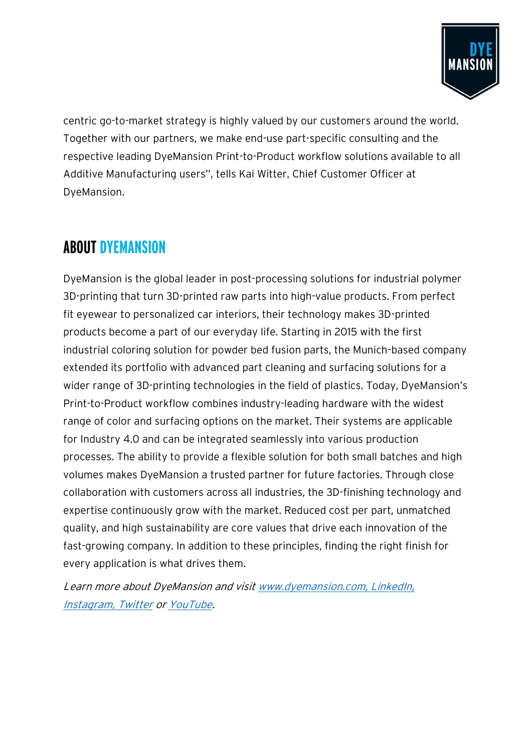

centric go-to-market strategy is highly valued by our customers around the world. Together with our partners, we make end-use part-specific consulting and the respective leading DyeMansion Print-to-Product workflow solutions available to all Additive Manufacturing users", tells Kai Witter, Chief Customer Officer at DyeMansion.

#### **ABOUT DYEMANSION**

DyeMansion is the global leader in post-processing solutions for industrial polymer 3D-printing that turn 3D-printed raw parts into high-value products. From perfect fit eyewear to personalized car interiors, their technology makes 3D-printed products become a part of our everyday life. Starting in 2015 with the first industrial coloring solution for powder bed fusion parts, the Munich-based company extended its portfolio with advanced part cleaning and surfacing solutions for a wider range of 3D-printing technologies in the field of plastics. Today, DyeMansion's Print-to-Product workflow combines industry-leading hardware with the widest range of color and surfacing options on the market. Their systems are applicable for Industry 4.0 and can be integrated seamlessly into various production processes. The ability to provide a flexible solution for both small batches and high volumes makes DyeMansion a trusted partner for future factories. Through close collaboration with customers across all industries, the 3D-finishing technology and expertise continuously grow with the market. Reduced cost per part, unmatched quality, and high sustainability are core values that drive each innovation of the fast-growing company. In addition to these principles, finding the right finish for every application is what drives them.

Learn more about DyeMansion and visi[t www.dyemansion.com,](http://www.dyemansion.com/) [LinkedIn,](https://www.linkedin.com/company/dyemansion) [Instagram,](https://www.instagram.com/wearedyemansion/) [Twitter](https://twitter.com/WeAreDyeMansion/) o[r YouTube.](https://www.youtube.com/c/DyeMansion)